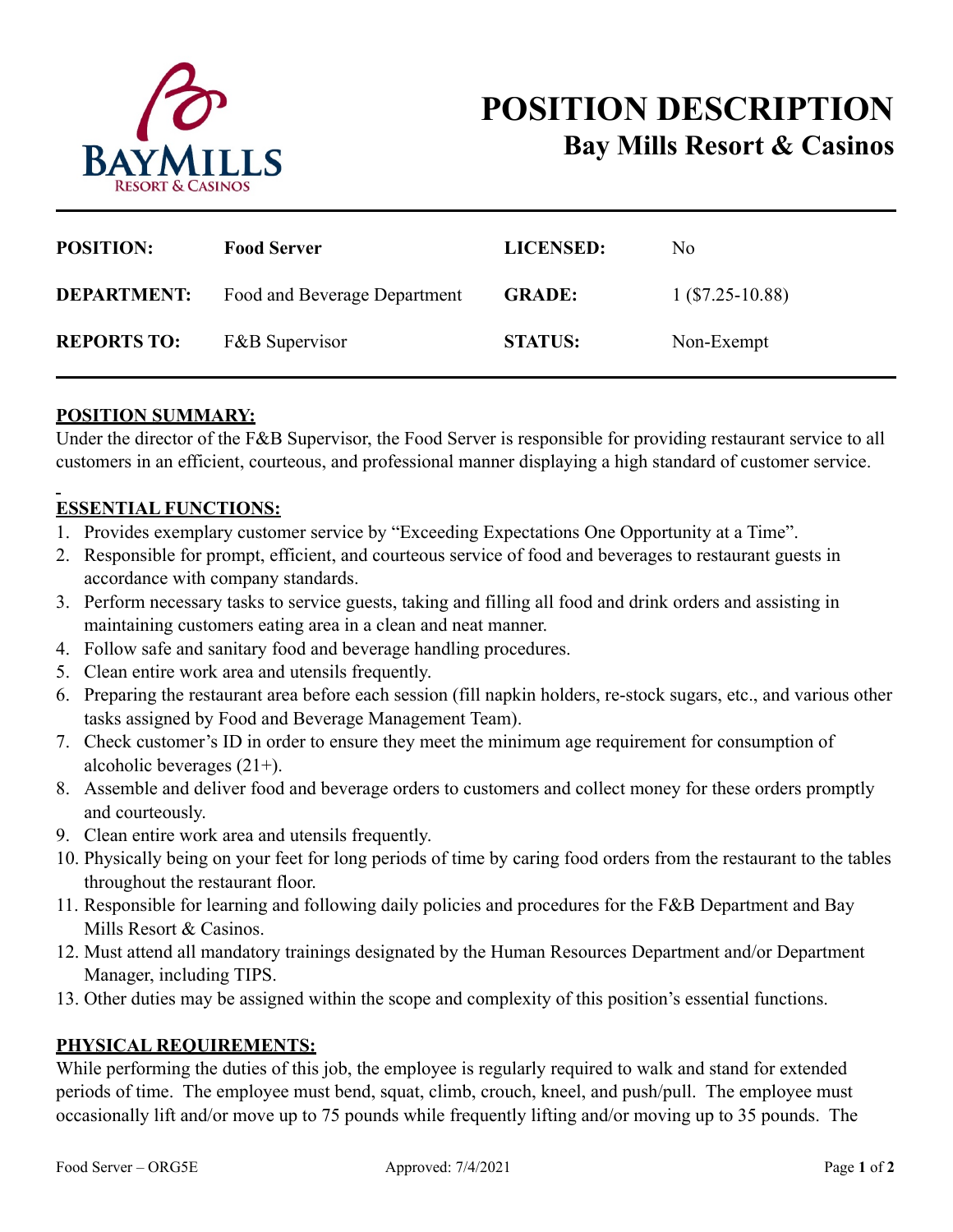

# **POSITION DESCRIPTION Bay Mills Resort & Casinos**

| <b>POSITION:</b>   | <b>Food Server</b>           | <b>LICENSED:</b> | N <sub>0</sub>     |
|--------------------|------------------------------|------------------|--------------------|
| <b>DEPARTMENT:</b> | Food and Beverage Department | <b>GRADE:</b>    | $1$ (\$7.25-10.88) |
| <b>REPORTS TO:</b> | <b>F&amp;B</b> Supervisor    | <b>STATUS:</b>   | Non-Exempt         |

## **POSITION SUMMARY:**

Under the director of the F&B Supervisor, the Food Server is responsible for providing restaurant service to all customers in an efficient, courteous, and professional manner displaying a high standard of customer service.

## **ESSENTIAL FUNCTIONS:**

- 1. Provides exemplary customer service by "Exceeding Expectations One Opportunity at a Time".
- 2. Responsible for prompt, efficient, and courteous service of food and beverages to restaurant guests in accordance with company standards.
- 3. Perform necessary tasks to service guests, taking and filling all food and drink orders and assisting in maintaining customers eating area in a clean and neat manner.
- 4. Follow safe and sanitary food and beverage handling procedures.
- 5. Clean entire work area and utensils frequently.
- 6. Preparing the restaurant area before each session (fill napkin holders, re-stock sugars, etc., and various other tasks assigned by Food and Beverage Management Team).
- 7. Check customer's ID in order to ensure they meet the minimum age requirement for consumption of alcoholic beverages (21+).
- 8. Assemble and deliver food and beverage orders to customers and collect money for these orders promptly and courteously.
- 9. Clean entire work area and utensils frequently.
- 10. Physically being on your feet for long periods of time by caring food orders from the restaurant to the tables throughout the restaurant floor.
- 11. Responsible for learning and following daily policies and procedures for the F&B Department and Bay Mills Resort & Casinos.
- 12. Must attend all mandatory trainings designated by the Human Resources Department and/or Department Manager, including TIPS.
- 13. Other duties may be assigned within the scope and complexity of this position's essential functions.

### **PHYSICAL REQUIREMENTS:**

While performing the duties of this job, the employee is regularly required to walk and stand for extended periods of time. The employee must bend, squat, climb, crouch, kneel, and push/pull. The employee must occasionally lift and/or move up to 75 pounds while frequently lifting and/or moving up to 35 pounds. The